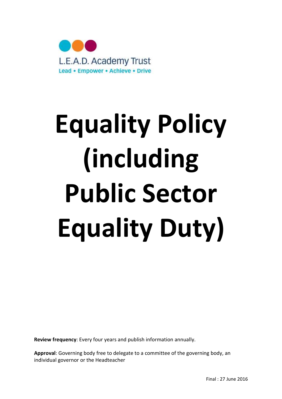

# Equality Policy (including Public Sector Equality Duty)

Review frequency: Every four years and publish information annually.

Approval: Governing body free to delegate to a committee of the governing body, an individual governor or the Headteacher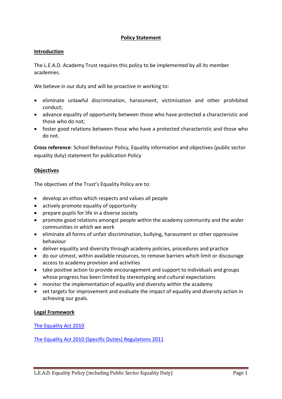# Policy Statement

#### Introduction

The L.E.A.D. Academy Trust requires this policy to be implemented by all its member academies.

We believe in our duty and will be proactive in working to:

- eliminate unlawful discrimination, harassment, victimisation and other prohibited conduct;
- advance equality of opportunity between those who have protected a characteristic and those who do not;
- foster good relations between those who have a protected characteristic and those who do not.

Cross reference: School Behaviour Policy, Equality information and objectives (public sector equality duty) statement for publication Policy

#### **Objectives**

The objectives of the Trust's Equality Policy are to:

- develop an ethos which respects and values all people
- actively promote equality of opportunity
- prepare pupils for life in a diverse society
- promote good relations amongst people within the academy community and the wider communities in which we work
- eliminate all forms of unfair discrimination, bullying, harassment or other oppressive behaviour
- deliver equality and diversity through academy policies, procedures and practice
- do our utmost, within available resources, to remove barriers which limit or discourage access to academy provision and activities
- take positive action to provide encouragement and support to individuals and groups whose progress has been limited by stereotyping and cultural expectations
- monitor the implementation of equality and diversity within the academy
- set targets for improvement and evaluate the impact of equality and diversity action in achieving our goals.

#### Legal Framework

The Equality Act 2010

The Equality Act 2010 (Specific Duties) Regulations 2011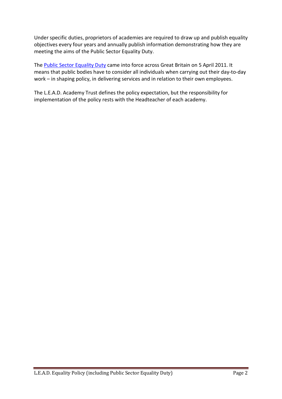Under specific duties, proprietors of academies are required to draw up and publish equality objectives every four years and annually publish information demonstrating how they are meeting the aims of the Public Sector Equality Duty.

The Public Sector Equality Duty came into force across Great Britain on 5 April 2011. It means that public bodies have to consider all individuals when carrying out their day-to-day work – in shaping policy, in delivering services and in relation to their own employees.

The L.E.A.D. Academy Trust defines the policy expectation, but the responsibility for implementation of the policy rests with the Headteacher of each academy.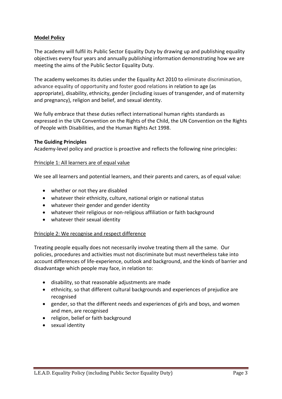# Model Policy

The academy will fulfil its Public Sector Equality Duty by drawing up and publishing equality objectives every four years and annually publishing information demonstrating how we are meeting the aims of the Public Sector Equality Duty.

The academy welcomes its duties under the Equality Act 2010 to eliminate discrimination, advance equality of opportunity and foster good relations in relation to age (as appropriate), disability, ethnicity, gender (including issues of transgender, and of maternity and pregnancy), religion and belief, and sexual identity.

We fully embrace that these duties reflect international human rights standards as expressed in the UN Convention on the Rights of the Child, the UN Convention on the Rights of People with Disabilities, and the Human Rights Act 1998.

#### The Guiding Principles

Academy-level policy and practice is proactive and reflects the following nine principles:

#### Principle 1: All learners are of equal value

We see all learners and potential learners, and their parents and carers, as of equal value:

- whether or not they are disabled
- whatever their ethnicity, culture, national origin or national status
- whatever their gender and gender identity
- whatever their religious or non-religious affiliation or faith background
- whatever their sexual identity

#### Principle 2: We recognise and respect difference

Treating people equally does not necessarily involve treating them all the same. Our policies, procedures and activities must not discriminate but must nevertheless take into account differences of life-experience, outlook and background, and the kinds of barrier and disadvantage which people may face, in relation to:

- disability, so that reasonable adjustments are made
- ethnicity, so that different cultural backgrounds and experiences of prejudice are recognised
- gender, so that the different needs and experiences of girls and boys, and women and men, are recognised
- religion, belief or faith background
- sexual identity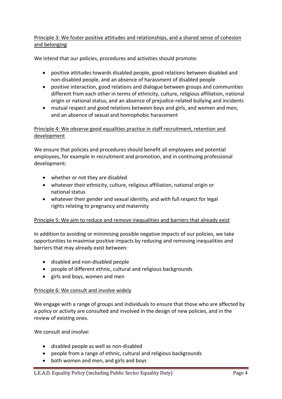# Principle 3: We foster positive attitudes and relationships, and a shared sense of cohesion and belonging

We intend that our policies, procedures and activities should promote:

- positive attitudes towards disabled people, good relations between disabled and non-disabled people, and an absence of harassment of disabled people
- positive interaction, good relations and dialogue between groups and communities different from each other in terms of ethnicity, culture, religious affiliation, national origin or national status, and an absence of prejudice-related bullying and incidents
- mutual respect and good relations between boys and girls, and women and men, and an absence of sexual and homophobic harassment

# Principle 4: We observe good equalities practice in staff recruitment, retention and development

We ensure that policies and procedures should benefit all employees and potential employees, for example in recruitment and promotion, and in continuing professional development:

- whether or not they are disabled
- whatever their ethnicity, culture, religious affiliation, national origin or national status
- whatever their gender and sexual identity, and with full respect for legal rights relating to pregnancy and maternity

# Principle 5: We aim to reduce and remove inequalities and barriers that already exist

In addition to avoiding or minimising possible negative impacts of our policies, we take opportunities to maximise positive impacts by reducing and removing inequalities and barriers that may already exist between:

- disabled and non-disabled people
- people of different ethnic, cultural and religious backgrounds
- girls and boys, women and men

# Principle 6: We consult and involve widely

We engage with a range of groups and individuals to ensure that those who are affected by a policy or activity are consulted and involved in the design of new policies, and in the review of existing ones.

We consult and involve:

- disabled people as well as non-disabled
- people from a range of ethnic, cultural and religious backgrounds
- both women and men, and girls and boys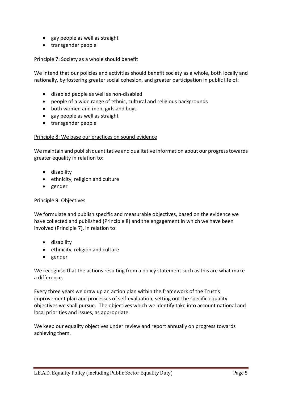- gay people as well as straight
- transgender people

# Principle 7: Society as a whole should benefit

We intend that our policies and activities should benefit society as a whole, both locally and nationally, by fostering greater social cohesion, and greater participation in public life of:

- disabled people as well as non-disabled
- people of a wide range of ethnic, cultural and religious backgrounds
- both women and men, girls and boys
- gay people as well as straight
- transgender people

#### Principle 8: We base our practices on sound evidence

We maintain and publish quantitative and qualitative information about our progress towards greater equality in relation to:

- disability
- ethnicity, religion and culture
- gender

#### Principle 9: Objectives

We formulate and publish specific and measurable objectives, based on the evidence we have collected and published (Principle 8) and the engagement in which we have been involved (Principle 7), in relation to:

- **•** disability
- ethnicity, religion and culture
- gender

We recognise that the actions resulting from a policy statement such as this are what make a difference.

Every three years we draw up an action plan within the framework of the Trust's improvement plan and processes of self-evaluation, setting out the specific equality objectives we shall pursue. The objectives which we identify take into account national and local priorities and issues, as appropriate.

We keep our equality objectives under review and report annually on progress towards achieving them.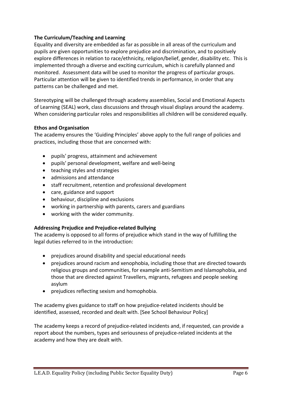# The Curriculum/Teaching and Learning

Equality and diversity are embedded as far as possible in all areas of the curriculum and pupils are given opportunities to explore prejudice and discrimination, and to positively explore differences in relation to race/ethnicity, religion/belief, gender, disability etc. This is implemented through a diverse and exciting curriculum, which is carefully planned and monitored. Assessment data will be used to monitor the progress of particular groups. Particular attention will be given to identified trends in performance, in order that any patterns can be challenged and met.

Stereotyping will be challenged through academy assemblies, Social and Emotional Aspects of Learning (SEAL) work, class discussions and through visual displays around the academy. When considering particular roles and responsibilities all children will be considered equally.

# Ethos and Organisation

The academy ensures the 'Guiding Principles' above apply to the full range of policies and practices, including those that are concerned with:

- pupils' progress, attainment and achievement
- pupils' personal development, welfare and well-being
- teaching styles and strategies
- admissions and attendance
- staff recruitment, retention and professional development
- care, guidance and support
- behaviour, discipline and exclusions
- working in partnership with parents, carers and guardians
- working with the wider community.

# Addressing Prejudice and Prejudice-related Bullying

The academy is opposed to all forms of prejudice which stand in the way of fulfilling the legal duties referred to in the introduction:

- prejudices around disability and special educational needs
- prejudices around racism and xenophobia, including those that are directed towards religious groups and communities, for example anti-Semitism and Islamophobia, and those that are directed against Travellers, migrants, refugees and people seeking asylum
- prejudices reflecting sexism and homophobia.

The academy gives guidance to staff on how prejudice-related incidents should be identified, assessed, recorded and dealt with. [See School Behaviour Policy]

The academy keeps a record of prejudice-related incidents and, if requested, can provide a report about the numbers, types and seriousness of prejudice-related incidents at the academy and how they are dealt with.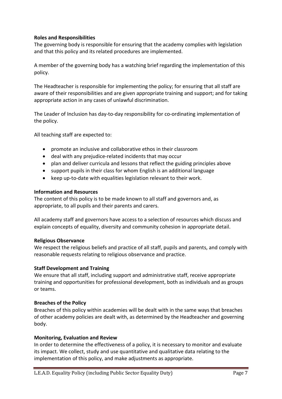# Roles and Responsibilities

The governing body is responsible for ensuring that the academy complies with legislation and that this policy and its related procedures are implemented.

A member of the governing body has a watching brief regarding the implementation of this policy.

The Headteacher is responsible for implementing the policy; for ensuring that all staff are aware of their responsibilities and are given appropriate training and support; and for taking appropriate action in any cases of unlawful discrimination.

The Leader of Inclusion has day-to-day responsibility for co-ordinating implementation of the policy.

All teaching staff are expected to:

- promote an inclusive and collaborative ethos in their classroom
- deal with any prejudice-related incidents that may occur
- plan and deliver curricula and lessons that reflect the guiding principles above
- support pupils in their class for whom English is an additional language
- keep up-to-date with equalities legislation relevant to their work.

#### Information and Resources

The content of this policy is to be made known to all staff and governors and, as appropriate, to all pupils and their parents and carers.

All academy staff and governors have access to a selection of resources which discuss and explain concepts of equality, diversity and community cohesion in appropriate detail.

# Religious Observance

We respect the religious beliefs and practice of all staff, pupils and parents, and comply with reasonable requests relating to religious observance and practice.

# Staff Development and Training

We ensure that all staff, including support and administrative staff, receive appropriate training and opportunities for professional development, both as individuals and as groups or teams.

# Breaches of the Policy

Breaches of this policy within academies will be dealt with in the same ways that breaches of other academy policies are dealt with, as determined by the Headteacher and governing body.

# Monitoring, Evaluation and Review

In order to determine the effectiveness of a policy, it is necessary to monitor and evaluate its impact. We collect, study and use quantitative and qualitative data relating to the implementation of this policy, and make adjustments as appropriate.